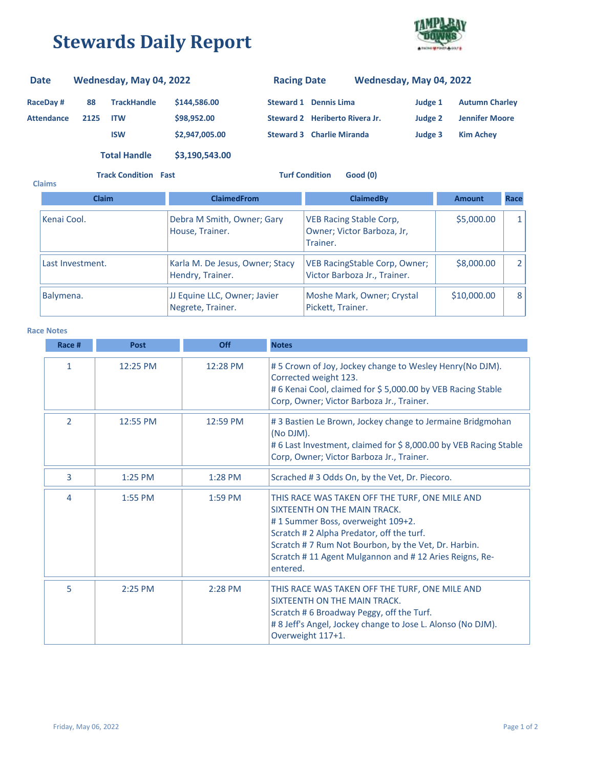## **Stewards Daily Report**



## **RaceDay # 88 Attendance 2125 TrackHandle \$144,586.00 ITW \$98,952.00 ISW \$2,947,005.00 Steward 2 Heriberto Rivera Jr. Steward 3 Charlie Miranda Judge 3 Kim Achey Judge 2 Jennifer Moore Steward 1 Dennis Lima Judge 1 Autumn Charley Date Wednesday, May 04, 2022 Racing Date Wednesday, May 04, 2022 Total Handle \$3,190,543.00**

**Track Condition Fast Turf Condition Good (0)**

| <b>Claims</b>                                                  |              |                                                     |                                                                          |               |      |
|----------------------------------------------------------------|--------------|-----------------------------------------------------|--------------------------------------------------------------------------|---------------|------|
|                                                                | <b>Claim</b> | <b>ClaimedFrom</b>                                  | <b>ClaimedBy</b>                                                         | <b>Amount</b> | Race |
| Kenai Cool.                                                    |              | Debra M Smith, Owner; Gary<br>House, Trainer.       | <b>VEB Racing Stable Corp,</b><br>Owner; Victor Barboza, Jr,<br>Trainer. | \$5,000.00    |      |
| Last Investment.                                               |              | Karla M. De Jesus, Owner; Stacy<br>Hendry, Trainer. | VEB RacingStable Corp, Owner;<br>Victor Barboza Jr., Trainer.            | \$8,000.00    |      |
| Balymena.<br>JJ Equine LLC, Owner; Javier<br>Negrete, Trainer. |              |                                                     | Moshe Mark, Owner; Crystal<br>Pickett, Trainer.                          | \$10,000.00   | 8    |

## **Race Notes**

| Race #         | <b>Post</b> | Off       | <b>Notes</b>                                                                                                                                                                                                                                                                                |
|----------------|-------------|-----------|---------------------------------------------------------------------------------------------------------------------------------------------------------------------------------------------------------------------------------------------------------------------------------------------|
| $\mathbf{1}$   | 12:25 PM    | 12:28 PM  | #5 Crown of Joy, Jockey change to Wesley Henry(No DJM).<br>Corrected weight 123.<br># 6 Kenai Cool, claimed for \$ 5,000.00 by VEB Racing Stable<br>Corp, Owner; Victor Barboza Jr., Trainer.                                                                                               |
| $\overline{2}$ | 12:55 PM    | 12:59 PM  | #3 Bastien Le Brown, Jockey change to Jermaine Bridgmohan<br>(No DJM).<br>#6 Last Investment, claimed for \$8,000.00 by VEB Racing Stable<br>Corp, Owner; Victor Barboza Jr., Trainer.                                                                                                      |
| 3              | 1:25 PM     | 1:28 PM   | Scrached #3 Odds On, by the Vet, Dr. Piecoro.                                                                                                                                                                                                                                               |
| 4              | 1:55 PM     | $1:59$ PM | THIS RACE WAS TAKEN OFF THE TURF, ONE MILE AND<br>SIXTEENTH ON THE MAIN TRACK.<br>#1 Summer Boss, overweight 109+2.<br>Scratch #2 Alpha Predator, off the turf.<br>Scratch #7 Rum Not Bourbon, by the Vet, Dr. Harbin.<br>Scratch #11 Agent Mulgannon and #12 Aries Reigns, Re-<br>entered. |
| 5              | 2:25 PM     | $2:28$ PM | THIS RACE WAS TAKEN OFF THE TURF, ONE MILE AND<br>SIXTEENTH ON THE MAIN TRACK.<br>Scratch #6 Broadway Peggy, off the Turf.<br># 8 Jeff's Angel, Jockey change to Jose L. Alonso (No DJM).<br>Overweight 117+1.                                                                              |